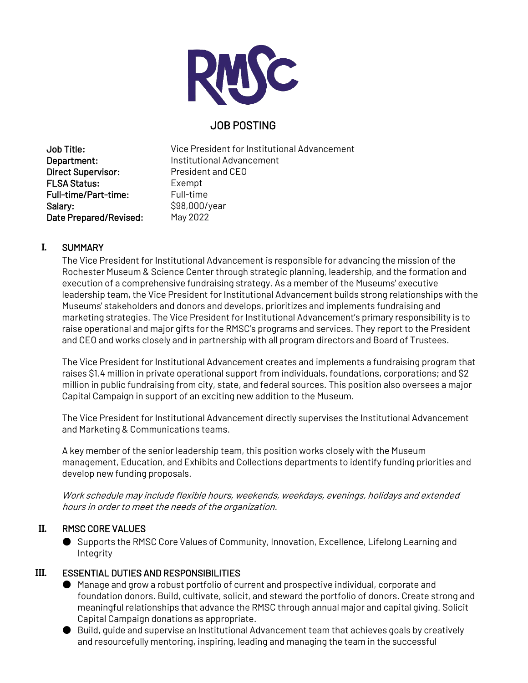

# JOB POSTING

Direct Supervisor: President and CEO FLSA Status: Exempt Full-time/Part-time: Full-time Salary: \$98,000/year Date Prepared/Revised: May 2022

Job Title: Vice President for Institutional Advancement Department: Institutional Advancement

# **I.** SUMMARY

The Vice President for Institutional Advancement is responsible for advancing the mission of the Rochester Museum & Science Center through strategic planning, leadership, and the formation and execution of a comprehensive fundraising strategy. As a member of the Museums' executive leadership team, the Vice President for Institutional Advancement builds strong relationships with the Museums' stakeholders and donors and develops, prioritizes and implements fundraising and marketing strategies. The Vice President for Institutional Advancement's primary responsibility is to raise operational and major gifts for the RMSC's programs and services. They report to the President and CEO and works closely and in partnership with all program directors and Board of Trustees.

The Vice President for Institutional Advancement creates and implements a fundraising program that raises \$1.4 million in private operational support from individuals, foundations, corporations; and \$2 million in public fundraising from city, state, and federal sources. This position also oversees a major Capital Campaign in support of an exciting new addition to the Museum.

The Vice President for Institutional Advancement directly supervises the Institutional Advancement and Marketing & Communications teams.

A key member of the senior leadership team, this position works closely with the Museum management, Education, and Exhibits and Collections departments to identify funding priorities and develop new funding proposals.

Work schedule may include flexible hours, weekends, weekdays, evenings, holidays and extended hours in order to meet the needs of the organization.

## **II.** RMSC CORE VALUES

● Supports the RMSC Core Values of Community, Innovation, Excellence, Lifelong Learning and **Integrity** 

## **III.** ESSENTIAL DUTIES AND RESPONSIBILITIES

- Manage and grow a robust portfolio of current and prospective individual, corporate and foundation donors. Build, cultivate, solicit, and steward the portfolio of donors. Create strong and meaningful relationships that advance the RMSC through annual major and capital giving. Solicit Capital Campaign donations as appropriate.
- Build, quide and supervise an Institutional Advancement team that achieves goals by creatively and resourcefully mentoring, inspiring, leading and managing the team in the successful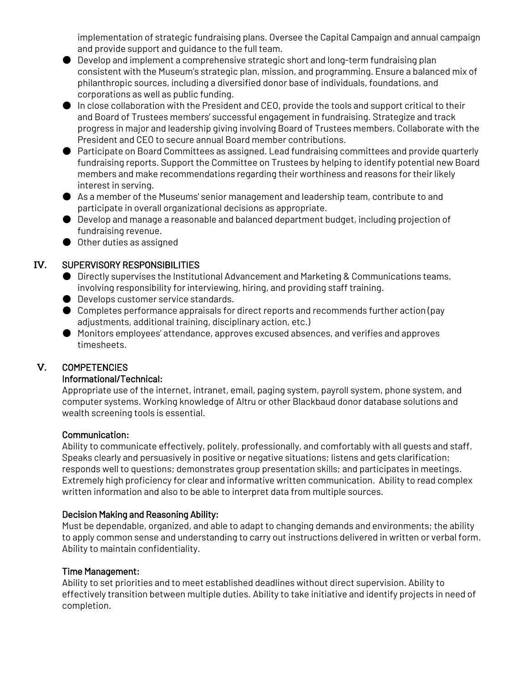implementation of strategic fundraising plans. Oversee the Capital Campaign and annual campaign and provide support and guidance to the full team.

- $\bullet$  Develop and implement a comprehensive strategic short and long-term fundraising plan consistent with the Museum's strategic plan, mission, and programming. Ensure a balanced mix of philanthropic sources, including a diversified donor base of individuals, foundations, and corporations as well as public funding.
- In close collaboration with the President and CEO, provide the tools and support critical to their and Board of Trustees members' successful engagement in fundraising. Strategize and track progress in major and leadership giving involving Board of Trustees members. Collaborate with the President and CEO to secure annual Board member contributions.
- Participate on Board Committees as assigned. Lead fundraising committees and provide quarterly fundraising reports. Support the Committee on Trustees by helping to identify potential new Board members and make recommendations regarding their worthiness and reasons for their likely interest in serving.
- As a member of the Museums' senior management and leadership team, contribute to and participate in overall organizational decisions as appropriate.
- Develop and manage a reasonable and balanced department budget, including projection of fundraising revenue.
- Other duties as assigned

## **IV.** SUPERVISORY RESPONSIBILITIES

- Directly supervises the Institutional Advancement and Marketing & Communications teams, involving responsibility for interviewing, hiring, and providing staff training.
- Develops customer service standards.
- Completes performance appraisals for direct reports and recommends further action (pay adjustments, additional training, disciplinary action, etc.)
- Monitors employees' attendance, approves excused absences, and verifies and approves timesheets.

## **V.** COMPETENCIES

### Informational/Technical:

Appropriate use of the internet, intranet, email, paging system, payroll system, phone system, and computer systems. Working knowledge of Altru or other Blackbaud donor database solutions and wealth screening tools is essential.

### Communication:

Ability to communicate effectively, politely, professionally, and comfortably with all guests and staff. Speaks clearly and persuasively in positive or negative situations; listens and gets clarification; responds well to questions; demonstrates group presentation skills; and participates in meetings. Extremely high proficiency for clear and informative written communication. Ability to read complex written information and also to be able to interpret data from multiple sources.

### Decision Making and Reasoning Ability:

Must be dependable, organized, and able to adapt to changing demands and environments; the ability to apply common sense and understanding to carry out instructions delivered in written or verbal form. Ability to maintain confidentiality.

#### Time Management:

Ability to set priorities and to meet established deadlines without direct supervision. Ability to effectively transition between multiple duties. Ability to take initiative and identify projects in need of completion.